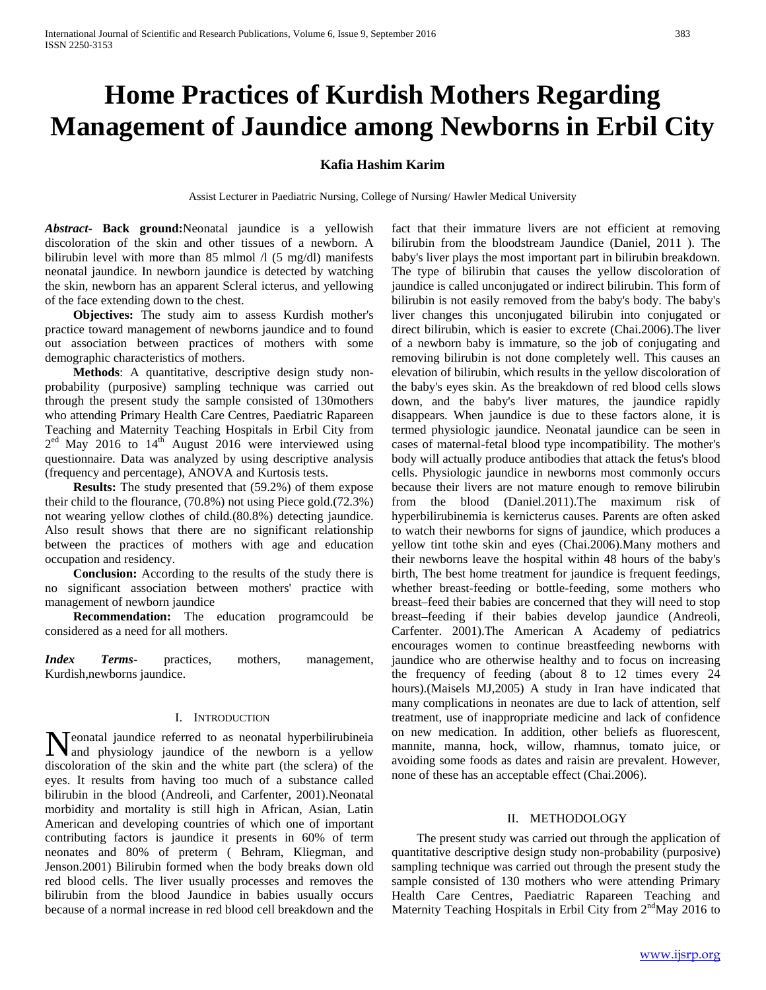# **Home Practices of Kurdish Mothers Regarding Management of Jaundice among Newborns in Erbil City**

# **Kafia Hashim Karim**

Assist Lecturer in Paediatric Nursing, College of Nursing/ Hawler Medical University

*Abstract***- Back ground:**Neonatal jaundice is a yellowish discoloration of the skin and other tissues of a newborn. A bilirubin level with more than 85 mlmol  $\Lambda$  (5 mg/dl) manifests neonatal jaundice. In newborn jaundice is detected by watching the skin, newborn has an apparent Scleral icterus, and yellowing of the face extending down to the chest.

 **Objectives:** The study aim to assess Kurdish mother's practice toward management of newborns jaundice and to found out association between practices of mothers with some demographic characteristics of mothers.

 **Methods**: A quantitative, descriptive design study nonprobability (purposive) sampling technique was carried out through the present study the sample consisted of 130mothers who attending Primary Health Care Centres, Paediatric Rapareen Teaching and Maternity Teaching Hospitals in Erbil City from  $2<sup>ed</sup>$  May 2016 to  $14<sup>th</sup>$  August 2016 were interviewed using questionnaire. Data was analyzed by using descriptive analysis (frequency and percentage), ANOVA and Kurtosis tests.

 **Results:** The study presented that (59.2%) of them expose their child to the flourance, (70.8%) not using Piece gold.(72.3%) not wearing yellow clothes of child.(80.8%) detecting jaundice. Also result shows that there are no significant relationship between the practices of mothers with age and education occupation and residency.

 **Conclusion:** According to the results of the study there is no significant association between mothers' practice with management of newborn jaundice

 **Recommendation:** The education programcould be considered as a need for all mothers.

*Index Terms*- practices, mothers, management, Kurdish,newborns jaundice.

## I. INTRODUCTION

**N** eonatal jaundice referred to as neonatal hyperbilirubineia<br>and physiology jaundice of the newborn is a yellow and physiology jaundice of the newborn is a yellow discoloration of the skin and the white part (the sclera) of the eyes. It results from having too much of a substance called bilirubin in the blood (Andreoli, and Carfenter, 2001).Neonatal morbidity and mortality is still high in African, Asian, Latin American and developing countries of which one of important contributing factors is jaundice it presents in 60% of term neonates and 80% of preterm ( Behram, Kliegman, and Jenson.2001) Bilirubin formed when the body breaks down old red blood cells. The liver usually processes and removes the bilirubin from the blood Jaundice in babies usually occurs because of a normal increase in red blood cell breakdown and the

fact that their immature livers are not efficient at removing bilirubin from the bloodstream Jaundice (Daniel, 2011 ). The baby's liver plays the most important part in bilirubin breakdown. The type of bilirubin that causes the yellow discoloration of jaundice is called unconjugated or indirect bilirubin. This form of bilirubin is not easily removed from the baby's body. The baby's liver changes this unconjugated bilirubin into conjugated or direct bilirubin, which is easier to excrete (Chai.2006).The liver of a newborn baby is immature, so the job of conjugating and removing bilirubin is not done completely well. This causes an elevation of bilirubin, which results in the yellow discoloration of the baby's eyes skin. As the breakdown of red blood cells slows down, and the baby's liver matures, the jaundice rapidly disappears. When jaundice is due to these factors alone, it is termed physiologic jaundice. Neonatal jaundice can be seen in cases of maternal-fetal blood type incompatibility. The mother's body will actually produce antibodies that attack the fetus's blood cells. Physiologic jaundice in newborns most commonly occurs because their livers are not mature enough to remove bilirubin from the blood (Daniel.2011).The maximum risk of hyperbilirubinemia is kernicterus causes. Parents are often asked to watch their newborns for signs of jaundice, which produces a yellow tint tothe skin and eyes (Chai.2006).Many mothers and their newborns leave the hospital within 48 hours of the baby's birth, The best home treatment for jaundice is frequent feedings, whether breast-feeding or bottle-feeding, some mothers who breast–feed their babies are concerned that they will need to stop breast–feeding if their babies develop jaundice (Andreoli, Carfenter. 2001).The American A Academy of pediatrics encourages women to continue breastfeeding newborns with jaundice who are otherwise healthy and to focus on increasing the frequency of feeding (about 8 to 12 times every 24 hours).(Maisels MJ,2005) A study in Iran have indicated that many complications in neonates are due to lack of attention, self treatment, use of inappropriate medicine and lack of confidence on new medication. In addition, other beliefs as fluorescent, mannite, manna, hock, willow, rhamnus, tomato juice, or avoiding some foods as dates and raisin are prevalent. However, none of these has an acceptable effect (Chai.2006).

## II. METHODOLOGY

 The present study was carried out through the application of quantitative descriptive design study non-probability (purposive) sampling technique was carried out through the present study the sample consisted of 130 mothers who were attending Primary Health Care Centres, Paediatric Rapareen Teaching and Maternity Teaching Hospitals in Erbil City from  $2<sup>nd</sup>$ May 2016 to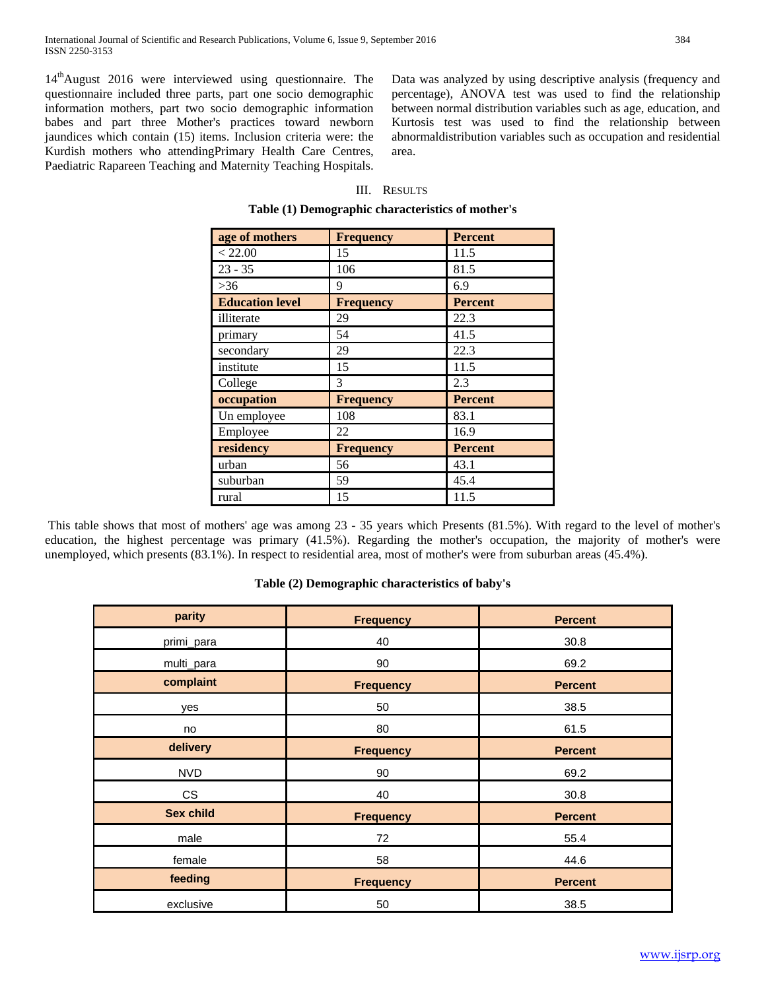14<sup>th</sup>August 2016 were interviewed using questionnaire. The questionnaire included three parts, part one socio demographic information mothers, part two socio demographic information babes and part three Mother's practices toward newborn jaundices which contain (15) items. Inclusion criteria were: the Kurdish mothers who attendingPrimary Health Care Centres, Paediatric Rapareen Teaching and Maternity Teaching Hospitals. Data was analyzed by using descriptive analysis (frequency and percentage), ANOVA test was used to find the relationship between normal distribution variables such as age, education, and Kurtosis test was used to find the relationship between abnormaldistribution variables such as occupation and residential area.

# III. RESULTS

|  |  | Table (1) Demographic characteristics of mother's |  |  |
|--|--|---------------------------------------------------|--|--|
|--|--|---------------------------------------------------|--|--|

| age of mothers         | <b>Frequency</b> | <b>Percent</b> |
|------------------------|------------------|----------------|
| < 22.00                | 15               | 11.5           |
| $23 - 35$              | 106              | 81.5           |
| $>36$                  | 9                | 6.9            |
| <b>Education level</b> | <b>Frequency</b> | <b>Percent</b> |
| illiterate             | 29               | 22.3           |
| primary                | 54               | 41.5           |
| secondary              | 29               | 22.3           |
| institute              | 15               | 11.5           |
| College                | 3                | 2.3            |
| occupation             | <b>Frequency</b> | <b>Percent</b> |
| Un employee            | 108              | 83.1           |
| Employee               | 22               | 16.9           |
| residency              | <b>Frequency</b> | <b>Percent</b> |
| urban                  | 56               | 43.1           |
| suburban               | 59               | 45.4           |
| rural                  | 15               | 11.5           |

This table shows that most of mothers' age was among 23 - 35 years which Presents (81.5%). With regard to the level of mother's education, the highest percentage was primary (41.5%). Regarding the mother's occupation, the majority of mother's were unemployed, which presents (83.1%). In respect to residential area, most of mother's were from suburban areas (45.4%).

# **Table (2) Demographic characteristics of baby's**

| parity           | <b>Frequency</b> | <b>Percent</b> |
|------------------|------------------|----------------|
| primi_para       | 40               | 30.8           |
| multi_para       | 90               | 69.2           |
| complaint        | <b>Frequency</b> | <b>Percent</b> |
| yes              | 50               | 38.5           |
| no               | 80               | 61.5           |
| delivery         | <b>Frequency</b> | <b>Percent</b> |
| <b>NVD</b>       | 90               | 69.2           |
| <b>CS</b>        | 40               | 30.8           |
| <b>Sex child</b> | <b>Frequency</b> | <b>Percent</b> |
| male             | 72               | 55.4           |
| female           | 58               | 44.6           |
| feeding          | <b>Frequency</b> | <b>Percent</b> |
| exclusive        | 50               | 38.5           |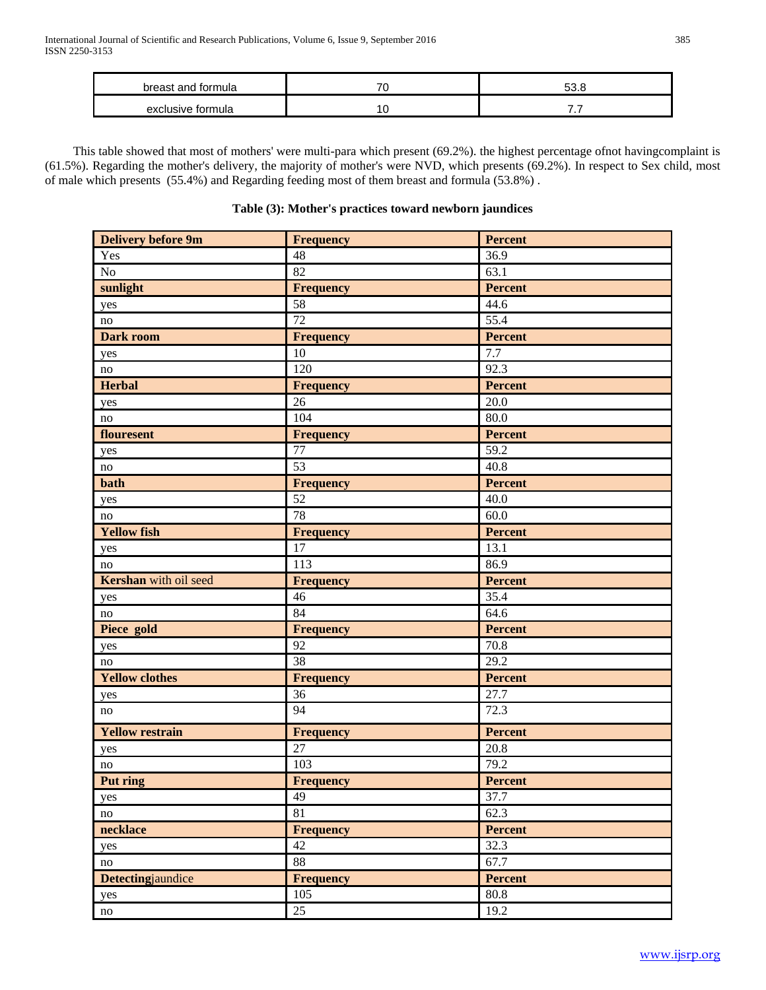| breast and formula   | ÷, |     |
|----------------------|----|-----|
| exclusive<br>formula |    | . . |

 This table showed that most of mothers' were multi-para which present (69.2%). the highest percentage ofnot havingcomplaint is (61.5%). Regarding the mother's delivery, the majority of mother's were NVD, which presents (69.2%). In respect to Sex child, most of male which presents (55.4%) and Regarding feeding most of them breast and formula (53.8%) .

# **Table (3): Mother's practices toward newborn jaundices**

| <b>Delivery before 9m</b> | <b>Frequency</b> | <b>Percent</b>    |
|---------------------------|------------------|-------------------|
| Yes                       | 48               | 36.9              |
| N <sub>o</sub>            | 82               | 63.1              |
| sunlight                  | <b>Frequency</b> | Percent           |
| yes                       | 58               | 44.6              |
| no                        | 72               | 55.4              |
| <b>Dark room</b>          | <b>Frequency</b> | <b>Percent</b>    |
| yes                       | 10               | 7.7               |
| no                        | 120              | 92.3              |
| <b>Herbal</b>             | <b>Frequency</b> | <b>Percent</b>    |
| yes                       | 26               | 20.0              |
| no                        | 104              | 80.0              |
| flouresent                | <b>Frequency</b> | <b>Percent</b>    |
| yes                       | 77               | 59.2              |
| no                        | 53               | 40.8              |
| bath                      | <b>Frequency</b> | <b>Percent</b>    |
| yes                       | 52               | 40.0              |
| no                        | 78               | 60.0              |
| <b>Yellow fish</b>        | <b>Frequency</b> | <b>Percent</b>    |
| yes                       | $\overline{17}$  | 13.1              |
| no                        | 113              | 86.9              |
| Kershan with oil seed     | <b>Frequency</b> | Percent           |
| yes                       | 46               | 35.4              |
| no                        | 84               | 64.6              |
| Piece gold                | <b>Frequency</b> | <b>Percent</b>    |
| yes                       | 92               | 70.8              |
| no                        | 38               | 29.2              |
| <b>Yellow clothes</b>     | <b>Frequency</b> | <b>Percent</b>    |
| yes                       | 36               | 27.7              |
| no                        | 94               | 72.3              |
| <b>Yellow restrain</b>    | <b>Frequency</b> | <b>Percent</b>    |
| yes                       | 27               | $\overline{20.8}$ |
| no                        | 103              | 79.2              |
| Put ring                  | <b>Frequency</b> | <b>Percent</b>    |
| yes                       | 49               | 37.7              |
| no                        | 81               | 62.3              |
| necklace                  | <b>Frequency</b> | <b>Percent</b>    |
| yes                       | 42               | 32.3              |
| no                        | 88               | 67.7              |
| Detectingjaundice         | <b>Frequency</b> | <b>Percent</b>    |
| yes                       | 105              | 80.8              |
| $\mathop{\mathrm{no}}$    | 25               | 19.2              |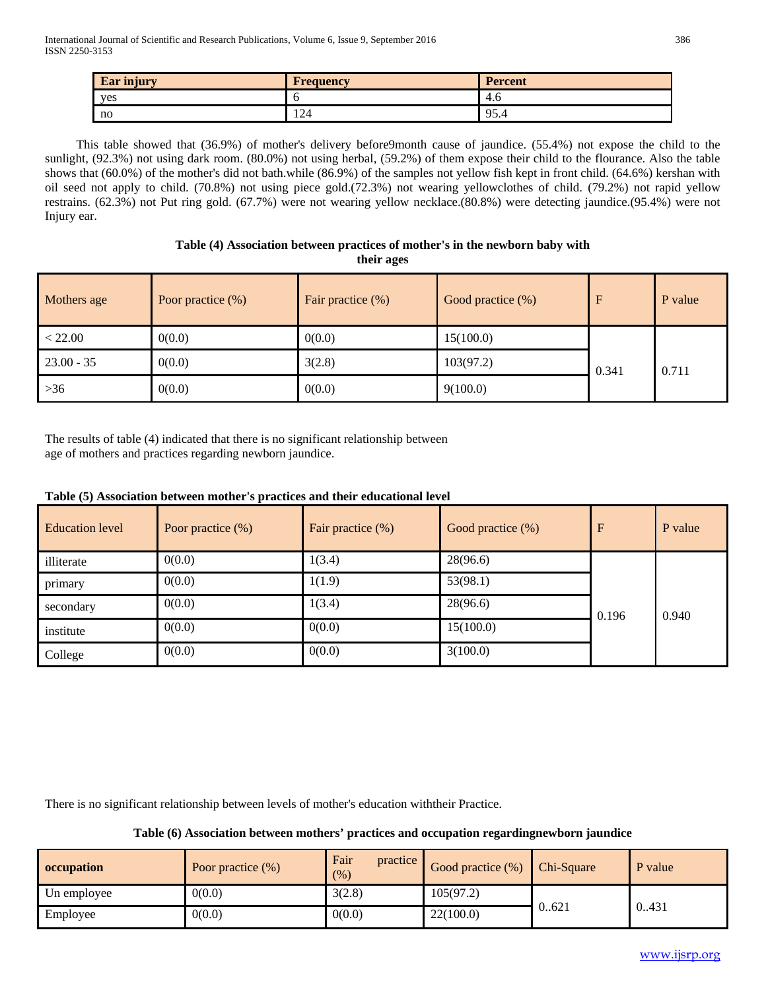| <b>Ear injury</b> | <b>Frequency</b> | <b>Percent</b> |
|-------------------|------------------|----------------|
| ves               |                  | 4.0            |
| no                | 124              | 05<br>フフ・コ     |

 This table showed that (36.9%) of mother's delivery before9month cause of jaundice. (55.4%) not expose the child to the sunlight, (92.3%) not using dark room. (80.0%) not using herbal, (59.2%) of them expose their child to the flourance. Also the table shows that (60.0%) of the mother's did not bath.while (86.9%) of the samples not yellow fish kept in front child. (64.6%) kershan with oil seed not apply to child. (70.8%) not using piece gold.(72.3%) not wearing yellowclothes of child. (79.2%) not rapid yellow restrains. (62.3%) not Put ring gold. (67.7%) were not wearing yellow necklace.(80.8%) were detecting jaundice.(95.4%) were not Injury ear.

## **Table (4) Association between practices of mother's in the newborn baby with their ages**

| Mothers age  | Poor practice $(\%)$ | Fair practice $(\%)$ | Good practice (%) | F     | P value |
|--------------|----------------------|----------------------|-------------------|-------|---------|
| < 22.00      | 0(0.0)               | 0(0.0)               | 15(100.0)         |       |         |
| $23.00 - 35$ | 0(0.0)               | 3(2.8)               | 103(97.2)         | 0.341 | 0.711   |
| $>36$        | 0(0.0)               | 0(0.0)               | 9(100.0)          |       |         |

The results of table (4) indicated that there is no significant relationship between age of mothers and practices regarding newborn jaundice.

# **Table (5) Association between mother's practices and their educational level**

| <b>Education level</b> | Poor practice $(\%)$ | Fair practice $(\%)$ | Good practice (%) | $\mathbf F$ | P value |
|------------------------|----------------------|----------------------|-------------------|-------------|---------|
| illiterate             | 0(0.0)               | 1(3.4)               | 28(96.6)          |             |         |
| primary                | 0(0.0)               | 1(1.9)               | 53(98.1)          |             |         |
| secondary              | 0(0.0)               | 1(3.4)               | 28(96.6)          | 0.196       | 0.940   |
| institute              | 0(0.0)               | 0(0.0)               | 15(100.0)         |             |         |
| College                | 0(0.0)               | 0(0.0)               | 3(100.0)          |             |         |

There is no significant relationship between levels of mother's education withtheir Practice.

# **Table (6) Association between mothers' practices and occupation regardingnewborn jaundice**

| occupation  | Poor practice (%) | Fair<br>practice<br>(% ) | Good practice $(\%)$ | Chi-Square | P value |
|-------------|-------------------|--------------------------|----------------------|------------|---------|
| Un employee | 0(0.0)            | 3(2.8)                   | 105(97.2)            |            |         |
| Employee    | 0(0.0)            | 0(0.0)                   | 22(100.0)            | 0.621      | 0.431   |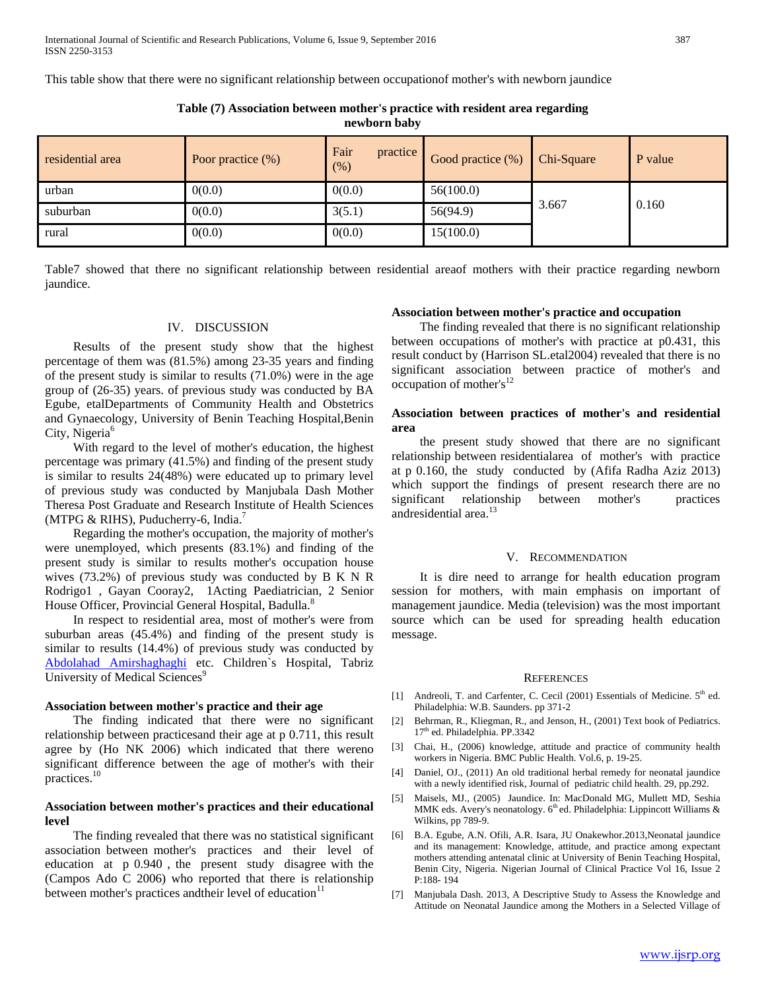This table show that there were no significant relationship between occupationof mother's with newborn jaundice

**Table (7) Association between mother's practice with resident area regarding newborn baby**

| residential area | Poor practice $(\%)$ | Fair<br>practice<br>(% ) | Good practice $(\%)$ Chi-Square |       | P value |
|------------------|----------------------|--------------------------|---------------------------------|-------|---------|
| urban            | 0(0.0)               | 0(0.0)                   | 56(100.0)                       |       |         |
| suburban         | 0(0.0)               | 3(5.1)                   | 56(94.9)                        | 3.667 | 0.160   |
| rural            | 0(0.0)               | 0(0.0)                   | 15(100.0)                       |       |         |

Table7 showed that there no significant relationship between residential areaof mothers with their practice regarding newborn jaundice.

## IV. DISCUSSION

 Results of the present study show that the highest percentage of them was (81.5%) among 23-35 years and finding of the present study is similar to results (71.0%) were in the age group of (26-35) years. of previous study was conducted by BA Egube, etalDepartments of Community Health and Obstetrics and Gynaecology, University of Benin Teaching Hospital,Benin City, Nigeria<sup>6</sup>

 With regard to the level of mother's education, the highest percentage was primary (41.5%) and finding of the present study is similar to results 24(48%) were educated up to primary level of previous study was conducted by Manjubala Dash Mother Theresa Post Graduate and Research Institute of Health Sciences (MTPG & RIHS), Puducherry-6, India.<sup>7</sup>

 Regarding the mother's occupation, the majority of mother's were unemployed, which presents (83.1%) and finding of the present study is similar to results mother's occupation house wives (73.2%) of previous study was conducted by B K N R Rodrigo1 , Gayan Cooray2, 1Acting Paediatrician, 2 Senior House Officer, Provincial General Hospital, Badulla.<sup>8</sup>

 In respect to residential area, most of mother's were from suburban areas (45.4%) and finding of the present study is similar to results (14.4%) of previous study was conducted by [Abdolahad Amirshaghaghi](http://ascidatabase.com/author.php?author=Abdolahad&last=Amirshaghaghi) etc. Children`s Hospital, Tabriz University of Medical Sciences<sup>9</sup>

#### **Association between mother's practice and their age**

 The finding indicated that there were no significant relationship between practicesand their age at p 0.711, this result agree by (Ho NK 2006) which indicated that there wereno significant difference between the age of mother's with their practices.10

# **Association between mother's practices and their educational level**

 The finding revealed that there was no statistical significant association between mother's practices and their level of education at p 0.940 , the present study disagree with the (Campos Ado C 2006) who reported that there is relationship between mother's practices and their level of education<sup>11</sup>

#### **Association between mother's practice and occupation**

 The finding revealed that there is no significant relationship between occupations of mother's with practice at p0.431, this result conduct by (Harrison SL.etal2004) revealed that there is no significant association between practice of mother's and occupation of mother's $12$ 

## **Association between practices of mother's and residential area**

 the present study showed that there are no significant relationship between residentialarea of mother's with practice at p 0.160, the study conducted by (Afifa Radha Aziz 2013) which support the findings of present research there are no significant relationship between mother's practices andresidential area.<sup>13</sup>

## V. RECOMMENDATION

 It is dire need to arrange for health education program session for mothers, with main emphasis on important of management jaundice. Media (television) was the most important source which can be used for spreading health education message.

#### **REFERENCES**

- [1] Andreoli, T. and Carfenter, C. Cecil (2001) Essentials of Medicine.  $5<sup>th</sup>$  ed. Philadelphia: W.B. Saunders. pp 371-2
- [2] Behrman, R., Kliegman, R., and Jenson, H., (2001) Text book of Pediatrics. 17<sup>th</sup> ed. Philadelphia. PP.3342
- [3] Chai, H., (2006) knowledge, attitude and practice of community health workers in Nigeria. BMC Public Health. Vol.6, p. 19-25.
- [4] Daniel, OJ., (2011) An old traditional herbal remedy for neonatal jaundice with a newly identified risk, Journal of pediatric child health. 29, pp.292.
- [5] Maisels, MJ., (2005) Jaundice. In: MacDonald MG, Mullett MD, Seshia MMK eds. Avery's neonatology. 6<sup>th</sup> ed. Philadelphia: Lippincott Williams & Wilkins, pp 789-9.
- [6] B.A. Egube, A.N. Ofili, A.R. Isara, JU Onakewhor.2013,Neonatal jaundice and its management: Knowledge, attitude, and practice among expectant mothers attending antenatal clinic at University of Benin Teaching Hospital, Benin City, Nigeria. Nigerian Journal of Clinical Practice [Vol 16, Issue 2](http://www.ajol.info/index.php/njcp/issue/view/10088)  [P:1](http://www.ajol.info/index.php/njcp/issue/view/10088)88- 194
- [7] Manjubala Dash. 2013, A Descriptive Study to Assess the Knowledge and Attitude on Neonatal Jaundice among the Mothers in a Selected Village of